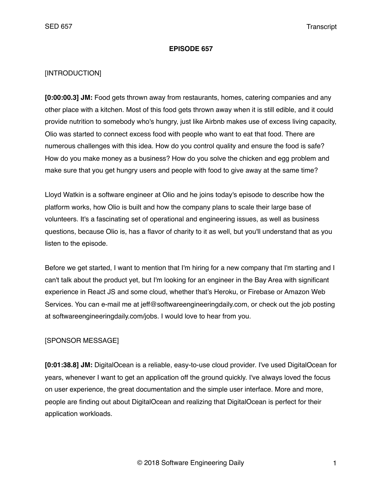#### **EPISODE 657**

#### [INTRODUCTION]

**[0:00:00.3] JM:** Food gets thrown away from restaurants, homes, catering companies and any other place with a kitchen. Most of this food gets thrown away when it is still edible, and it could provide nutrition to somebody who's hungry, just like Airbnb makes use of excess living capacity, Olio was started to connect excess food with people who want to eat that food. There are numerous challenges with this idea. How do you control quality and ensure the food is safe? How do you make money as a business? How do you solve the chicken and egg problem and make sure that you get hungry users and people with food to give away at the same time?

Lloyd Watkin is a software engineer at Olio and he joins today's episode to describe how the platform works, how Olio is built and how the company plans to scale their large base of volunteers. It's a fascinating set of operational and engineering issues, as well as business questions, because Olio is, has a flavor of charity to it as well, but you'll understand that as you listen to the episode.

Before we get started, I want to mention that I'm hiring for a new company that I'm starting and I can't talk about the product yet, but I'm looking for an engineer in the Bay Area with significant experience in React JS and some cloud, whether that's Heroku, or Firebase or Amazon Web Services. You can e-mail me at jeff@softwareengineeringdaily.com, or check out the job posting at softwareengineeringdaily.com/jobs. I would love to hear from you.

## [SPONSOR MESSAGE]

**[0:01:38.8] JM:** DigitalOcean is a reliable, easy-to-use cloud provider. I've used DigitalOcean for years, whenever I want to get an application off the ground quickly. I've always loved the focus on user experience, the great documentation and the simple user interface. More and more, people are finding out about DigitalOcean and realizing that DigitalOcean is perfect for their application workloads.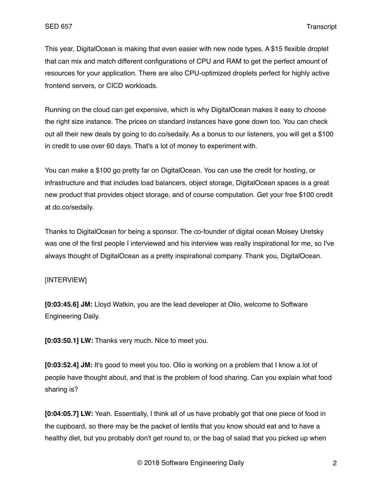This year, DigitalOcean is making that even easier with new node types. A \$15 flexible droplet that can mix and match different configurations of CPU and RAM to get the perfect amount of resources for your application. There are also CPU-optimized droplets perfect for highly active frontend servers, or CICD workloads.

Running on the cloud can get expensive, which is why DigitalOcean makes it easy to choose the right size instance. The prices on standard instances have gone down too. You can check out all their new deals by going to do.co/sedaily. As a bonus to our listeners, you will get a \$100 in credit to use over 60 days. That's a lot of money to experiment with.

You can make a \$100 go pretty far on DigitalOcean. You can use the credit for hosting, or infrastructure and that includes load balancers, object storage, DigitalOcean spaces is a great new product that provides object storage, and of course computation. Get your free \$100 credit at do.co/sedaily.

Thanks to DigitalOcean for being a sponsor. The co-founder of digital ocean Moisey Uretsky was one of the first people I interviewed and his interview was really inspirational for me, so I've always thought of DigitalOcean as a pretty inspirational company. Thank you, DigitalOcean.

## [INTERVIEW]

**[0:03:45.6] JM:** Lloyd Watkin, you are the lead developer at Olio, welcome to Software Engineering Daily.

**[0:03:50.1] LW:** Thanks very much. Nice to meet you.

**[0:03:52.4] JM:** It's good to meet you too. Olio is working on a problem that I know a lot of people have thought about, and that is the problem of food sharing. Can you explain what food sharing is?

**[0:04:05.7] LW:** Yeah. Essentially, I think all of us have probably got that one piece of food in the cupboard, so there may be the packet of lentils that you know should eat and to have a healthy diet, but you probably don't get round to, or the bag of salad that you picked up when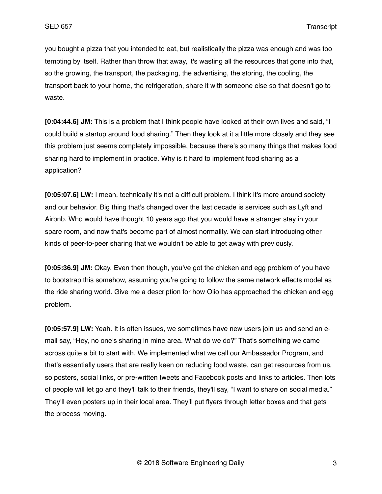you bought a pizza that you intended to eat, but realistically the pizza was enough and was too tempting by itself. Rather than throw that away, it's wasting all the resources that gone into that, so the growing, the transport, the packaging, the advertising, the storing, the cooling, the transport back to your home, the refrigeration, share it with someone else so that doesn't go to waste.

**[0:04:44.6] JM:** This is a problem that I think people have looked at their own lives and said, "I could build a startup around food sharing." Then they look at it a little more closely and they see this problem just seems completely impossible, because there's so many things that makes food sharing hard to implement in practice. Why is it hard to implement food sharing as a application?

**[0:05:07.6] LW:** I mean, technically it's not a difficult problem. I think it's more around society and our behavior. Big thing that's changed over the last decade is services such as Lyft and Airbnb. Who would have thought 10 years ago that you would have a stranger stay in your spare room, and now that's become part of almost normality. We can start introducing other kinds of peer-to-peer sharing that we wouldn't be able to get away with previously.

**[0:05:36.9] JM:** Okay. Even then though, you've got the chicken and egg problem of you have to bootstrap this somehow, assuming you're going to follow the same network effects model as the ride sharing world. Give me a description for how Olio has approached the chicken and egg problem.

**[0:05:57.9] LW:** Yeah. It is often issues, we sometimes have new users join us and send an email say, "Hey, no one's sharing in mine area. What do we do?" That's something we came across quite a bit to start with. We implemented what we call our Ambassador Program, and that's essentially users that are really keen on reducing food waste, can get resources from us, so posters, social links, or pre-written tweets and Facebook posts and links to articles. Then lots of people will let go and they'll talk to their friends, they'll say, "I want to share on social media." They'll even posters up in their local area. They'll put flyers through letter boxes and that gets the process moving.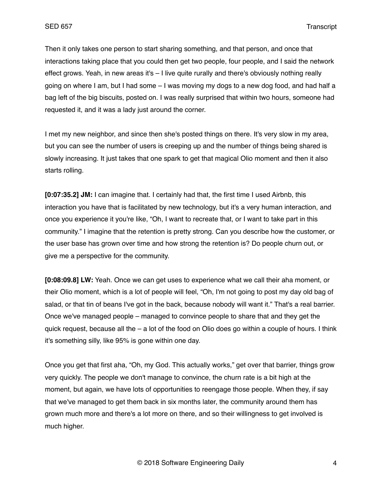Then it only takes one person to start sharing something, and that person, and once that interactions taking place that you could then get two people, four people, and I said the network effect grows. Yeah, in new areas it's – I live quite rurally and there's obviously nothing really going on where I am, but I had some – I was moving my dogs to a new dog food, and had half a bag left of the big biscuits, posted on. I was really surprised that within two hours, someone had requested it, and it was a lady just around the corner.

I met my new neighbor, and since then she's posted things on there. It's very slow in my area, but you can see the number of users is creeping up and the number of things being shared is slowly increasing. It just takes that one spark to get that magical Olio moment and then it also starts rolling.

**[0:07:35.2] JM:** I can imagine that. I certainly had that, the first time I used Airbnb, this interaction you have that is facilitated by new technology, but it's a very human interaction, and once you experience it you're like, "Oh, I want to recreate that, or I want to take part in this community." I imagine that the retention is pretty strong. Can you describe how the customer, or the user base has grown over time and how strong the retention is? Do people churn out, or give me a perspective for the community.

**[0:08:09.8] LW:** Yeah. Once we can get uses to experience what we call their aha moment, or their Olio moment, which is a lot of people will feel, "Oh, I'm not going to post my day old bag of salad, or that tin of beans I've got in the back, because nobody will want it." That's a real barrier. Once we've managed people – managed to convince people to share that and they get the quick request, because all the – a lot of the food on Olio does go within a couple of hours. I think it's something silly, like 95% is gone within one day.

Once you get that first aha, "Oh, my God. This actually works," get over that barrier, things grow very quickly. The people we don't manage to convince, the churn rate is a bit high at the moment, but again, we have lots of opportunities to reengage those people. When they, if say that we've managed to get them back in six months later, the community around them has grown much more and there's a lot more on there, and so their willingness to get involved is much higher.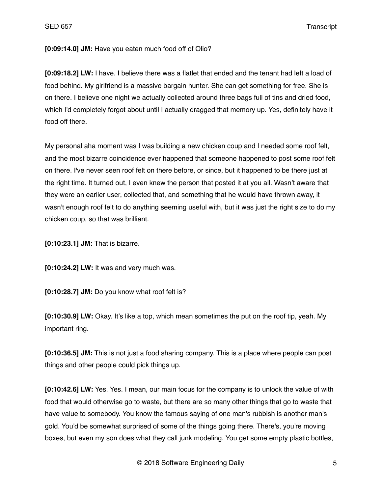## **[0:09:14.0] JM:** Have you eaten much food off of Olio?

**[0:09:18.2] LW:** I have. I believe there was a flatlet that ended and the tenant had left a load of food behind. My girlfriend is a massive bargain hunter. She can get something for free. She is on there. I believe one night we actually collected around three bags full of tins and dried food, which I'd completely forgot about until I actually dragged that memory up. Yes, definitely have it food off there.

My personal aha moment was I was building a new chicken coup and I needed some roof felt, and the most bizarre coincidence ever happened that someone happened to post some roof felt on there. I've never seen roof felt on there before, or since, but it happened to be there just at the right time. It turned out, I even knew the person that posted it at you all. Wasn't aware that they were an earlier user, collected that, and something that he would have thrown away, it wasn't enough roof felt to do anything seeming useful with, but it was just the right size to do my chicken coup, so that was brilliant.

**[0:10:23.1] JM:** That is bizarre.

**[0:10:24.2] LW:** It was and very much was.

**[0:10:28.7] JM:** Do you know what roof felt is?

**[0:10:30.9] LW:** Okay. It's like a top, which mean sometimes the put on the roof tip, yeah. My important ring.

**[0:10:36.5] JM:** This is not just a food sharing company. This is a place where people can post things and other people could pick things up.

**[0:10:42.6] LW:** Yes. Yes. I mean, our main focus for the company is to unlock the value of with food that would otherwise go to waste, but there are so many other things that go to waste that have value to somebody. You know the famous saying of one man's rubbish is another man's gold. You'd be somewhat surprised of some of the things going there. There's, you're moving boxes, but even my son does what they call junk modeling. You get some empty plastic bottles,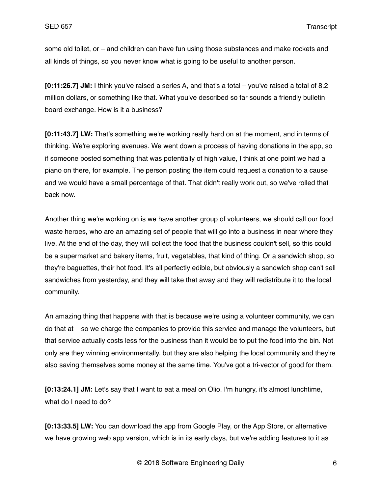some old toilet, or – and children can have fun using those substances and make rockets and all kinds of things, so you never know what is going to be useful to another person.

**[0:11:26.7] JM:** I think you've raised a series A, and that's a total – you've raised a total of 8.2 million dollars, or something like that. What you've described so far sounds a friendly bulletin board exchange. How is it a business?

**[0:11:43.7] LW:** That's something we're working really hard on at the moment, and in terms of thinking. We're exploring avenues. We went down a process of having donations in the app, so if someone posted something that was potentially of high value, I think at one point we had a piano on there, for example. The person posting the item could request a donation to a cause and we would have a small percentage of that. That didn't really work out, so we've rolled that back now.

Another thing we're working on is we have another group of volunteers, we should call our food waste heroes, who are an amazing set of people that will go into a business in near where they live. At the end of the day, they will collect the food that the business couldn't sell, so this could be a supermarket and bakery items, fruit, vegetables, that kind of thing. Or a sandwich shop, so they're baguettes, their hot food. It's all perfectly edible, but obviously a sandwich shop can't sell sandwiches from yesterday, and they will take that away and they will redistribute it to the local community.

An amazing thing that happens with that is because we're using a volunteer community, we can do that at – so we charge the companies to provide this service and manage the volunteers, but that service actually costs less for the business than it would be to put the food into the bin. Not only are they winning environmentally, but they are also helping the local community and they're also saving themselves some money at the same time. You've got a tri-vector of good for them.

**[0:13:24.1] JM:** Let's say that I want to eat a meal on Olio. I'm hungry, it's almost lunchtime, what do I need to do?

**[0:13:33.5] LW:** You can download the app from Google Play, or the App Store, or alternative we have growing web app version, which is in its early days, but we're adding features to it as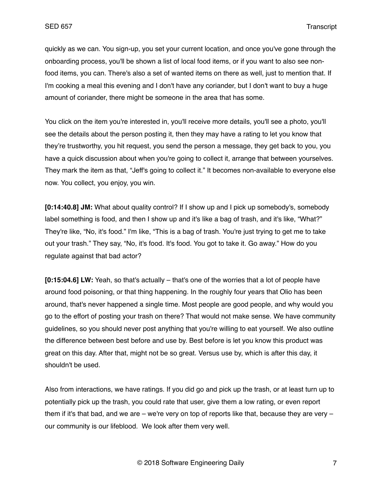quickly as we can. You sign-up, you set your current location, and once you've gone through the onboarding process, you'll be shown a list of local food items, or if you want to also see nonfood items, you can. There's also a set of wanted items on there as well, just to mention that. If I'm cooking a meal this evening and I don't have any coriander, but I don't want to buy a huge amount of coriander, there might be someone in the area that has some.

You click on the item you're interested in, you'll receive more details, you'll see a photo, you'll see the details about the person posting it, then they may have a rating to let you know that they're trustworthy, you hit request, you send the person a message, they get back to you, you have a quick discussion about when you're going to collect it, arrange that between yourselves. They mark the item as that, "Jeff's going to collect it." It becomes non-available to everyone else now. You collect, you enjoy, you win.

**[0:14:40.8] JM:** What about quality control? If I show up and I pick up somebody's, somebody label something is food, and then I show up and it's like a bag of trash, and it's like, "What?" They're like, "No, it's food." I'm like, "This is a bag of trash. You're just trying to get me to take out your trash." They say, "No, it's food. It's food. You got to take it. Go away." How do you regulate against that bad actor?

**[0:15:04.6] LW:** Yeah, so that's actually – that's one of the worries that a lot of people have around food poisoning, or that thing happening. In the roughly four years that Olio has been around, that's never happened a single time. Most people are good people, and why would you go to the effort of posting your trash on there? That would not make sense. We have community guidelines, so you should never post anything that you're willing to eat yourself. We also outline the difference between best before and use by. Best before is let you know this product was great on this day. After that, might not be so great. Versus use by, which is after this day, it shouldn't be used.

Also from interactions, we have ratings. If you did go and pick up the trash, or at least turn up to potentially pick up the trash, you could rate that user, give them a low rating, or even report them if it's that bad, and we are  $-$  we're very on top of reports like that, because they are very  $$ our community is our lifeblood. We look after them very well.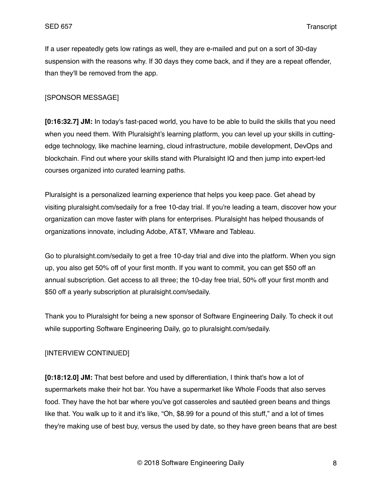If a user repeatedly gets low ratings as well, they are e-mailed and put on a sort of 30-day suspension with the reasons why. If 30 days they come back, and if they are a repeat offender, than they'll be removed from the app.

### [SPONSOR MESSAGE]

**[0:16:32.7] JM:** In today's fast-paced world, you have to be able to build the skills that you need when you need them. With Pluralsight's learning platform, you can level up your skills in cuttingedge technology, like machine learning, cloud infrastructure, mobile development, DevOps and blockchain. Find out where your skills stand with Pluralsight IQ and then jump into expert-led courses organized into curated learning paths.

Pluralsight is a personalized learning experience that helps you keep pace. Get ahead by visiting pluralsight.com/sedaily for a free 10-day trial. If you're leading a team, discover how your organization can move faster with plans for enterprises. Pluralsight has helped thousands of organizations innovate, including Adobe, AT&T, VMware and Tableau.

Go to pluralsight.com/sedaily to get a free 10-day trial and dive into the platform. When you sign up, you also get 50% off of your first month. If you want to commit, you can get \$50 off an annual subscription. Get access to all three; the 10-day free trial, 50% off your first month and \$50 off a yearly subscription at pluralsight.com/sedaily.

Thank you to Pluralsight for being a new sponsor of Software Engineering Daily. To check it out while supporting Software Engineering Daily, go to pluralsight.com/sedaily.

## [INTERVIEW CONTINUED]

**[0:18:12.0] JM:** That best before and used by differentiation, I think that's how a lot of supermarkets make their hot bar. You have a supermarket like Whole Foods that also serves food. They have the hot bar where you've got casseroles and sautéed green beans and things like that. You walk up to it and it's like, "Oh, \$8.99 for a pound of this stuff," and a lot of times they're making use of best buy, versus the used by date, so they have green beans that are best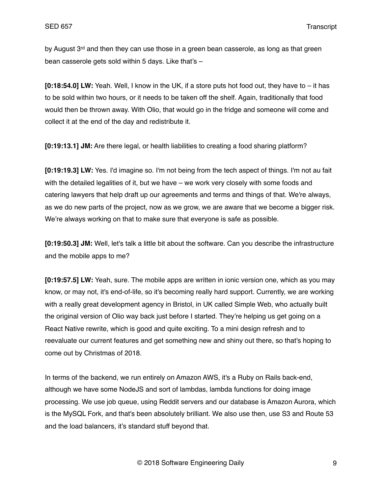by August  $3<sup>rd</sup>$  and then they can use those in a green bean casserole, as long as that green bean casserole gets sold within 5 days. Like that's –

**[0:18:54.0] LW:** Yeah. Well, I know in the UK, if a store puts hot food out, they have to – it has to be sold within two hours, or it needs to be taken off the shelf. Again, traditionally that food would then be thrown away. With Olio, that would go in the fridge and someone will come and collect it at the end of the day and redistribute it.

**[0:19:13.1] JM:** Are there legal, or health liabilities to creating a food sharing platform?

**[0:19:19.3] LW:** Yes. I'd imagine so. I'm not being from the tech aspect of things. I'm not au fait with the detailed legalities of it, but we have – we work very closely with some foods and catering lawyers that help draft up our agreements and terms and things of that. We're always, as we do new parts of the project, now as we grow, we are aware that we become a bigger risk. We're always working on that to make sure that everyone is safe as possible.

**[0:19:50.3] JM:** Well, let's talk a little bit about the software. Can you describe the infrastructure and the mobile apps to me?

**[0:19:57.5] LW:** Yeah, sure. The mobile apps are written in ionic version one, which as you may know, or may not, it's end-of-life, so it's becoming really hard support. Currently, we are working with a really great development agency in Bristol, in UK called Simple Web, who actually built the original version of Olio way back just before I started. They're helping us get going on a React Native rewrite, which is good and quite exciting. To a mini design refresh and to reevaluate our current features and get something new and shiny out there, so that's hoping to come out by Christmas of 2018.

In terms of the backend, we run entirely on Amazon AWS, it's a Ruby on Rails back-end, although we have some NodeJS and sort of lambdas, lambda functions for doing image processing. We use job queue, using Reddit servers and our database is Amazon Aurora, which is the MySQL Fork, and that's been absolutely brilliant. We also use then, use S3 and Route 53 and the load balancers, it's standard stuff beyond that.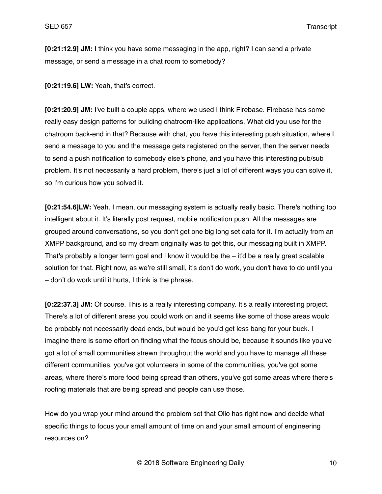**[0:21:12.9] JM:** I think you have some messaging in the app, right? I can send a private message, or send a message in a chat room to somebody?

**[0:21:19.6] LW:** Yeah, that's correct.

**[0:21:20.9] JM:** I've built a couple apps, where we used I think Firebase. Firebase has some really easy design patterns for building chatroom-like applications. What did you use for the chatroom back-end in that? Because with chat, you have this interesting push situation, where I send a message to you and the message gets registered on the server, then the server needs to send a push notification to somebody else's phone, and you have this interesting pub/sub problem. It's not necessarily a hard problem, there's just a lot of different ways you can solve it, so I'm curious how you solved it.

**[0:21:54.6]LW:** Yeah. I mean, our messaging system is actually really basic. There's nothing too intelligent about it. It's literally post request, mobile notification push. All the messages are grouped around conversations, so you don't get one big long set data for it. I'm actually from an XMPP background, and so my dream originally was to get this, our messaging built in XMPP. That's probably a longer term goal and I know it would be the – it'd be a really great scalable solution for that. Right now, as we're still small, it's don't do work, you don't have to do until you – don't do work until it hurts, I think is the phrase.

**[0:22:37.3] JM:** Of course. This is a really interesting company. It's a really interesting project. There's a lot of different areas you could work on and it seems like some of those areas would be probably not necessarily dead ends, but would be you'd get less bang for your buck. I imagine there is some effort on finding what the focus should be, because it sounds like you've got a lot of small communities strewn throughout the world and you have to manage all these different communities, you've got volunteers in some of the communities, you've got some areas, where there's more food being spread than others, you've got some areas where there's roofing materials that are being spread and people can use those.

How do you wrap your mind around the problem set that Olio has right now and decide what specific things to focus your small amount of time on and your small amount of engineering resources on?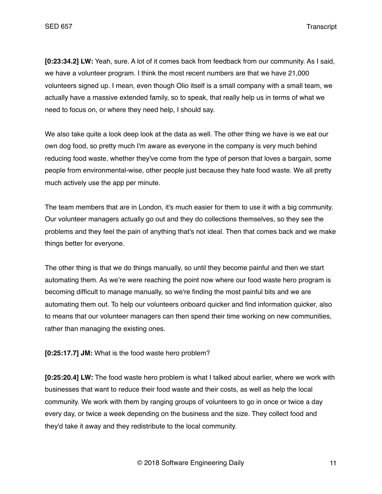**[0:23:34.2] LW:** Yeah, sure. A lot of it comes back from feedback from our community. As I said, we have a volunteer program. I think the most recent numbers are that we have 21,000 volunteers signed up. I mean, even though Olio itself is a small company with a small team, we actually have a massive extended family, so to speak, that really help us in terms of what we need to focus on, or where they need help, I should say.

We also take quite a look deep look at the data as well. The other thing we have is we eat our own dog food, so pretty much I'm aware as everyone in the company is very much behind reducing food waste, whether they've come from the type of person that loves a bargain, some people from environmental-wise, other people just because they hate food waste. We all pretty much actively use the app per minute.

The team members that are in London, it's much easier for them to use it with a big community. Our volunteer managers actually go out and they do collections themselves, so they see the problems and they feel the pain of anything that's not ideal. Then that comes back and we make things better for everyone.

The other thing is that we do things manually, so until they become painful and then we start automating them. As we're were reaching the point now where our food waste hero program is becoming difficult to manage manually, so we're finding the most painful bits and we are automating them out. To help our volunteers onboard quicker and find information quicker, also to means that our volunteer managers can then spend their time working on new communities, rather than managing the existing ones.

**[0:25:17.7] JM:** What is the food waste hero problem?

**[0:25:20.4] LW:** The food waste hero problem is what I talked about earlier, where we work with businesses that want to reduce their food waste and their costs, as well as help the local community. We work with them by ranging groups of volunteers to go in once or twice a day every day, or twice a week depending on the business and the size. They collect food and they'd take it away and they redistribute to the local community.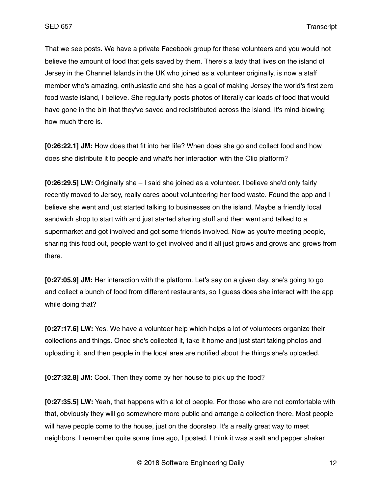That we see posts. We have a private Facebook group for these volunteers and you would not believe the amount of food that gets saved by them. There's a lady that lives on the island of Jersey in the Channel Islands in the UK who joined as a volunteer originally, is now a staff member who's amazing, enthusiastic and she has a goal of making Jersey the world's first zero food waste island, I believe. She regularly posts photos of literally car loads of food that would have gone in the bin that they've saved and redistributed across the island. It's mind-blowing how much there is.

**[0:26:22.1] JM:** How does that fit into her life? When does she go and collect food and how does she distribute it to people and what's her interaction with the Olio platform?

**[0:26:29.5] LW:** Originally she – I said she joined as a volunteer. I believe she'd only fairly recently moved to Jersey, really cares about volunteering her food waste. Found the app and I believe she went and just started talking to businesses on the island. Maybe a friendly local sandwich shop to start with and just started sharing stuff and then went and talked to a supermarket and got involved and got some friends involved. Now as you're meeting people, sharing this food out, people want to get involved and it all just grows and grows and grows from there.

**[0:27:05.9] JM:** Her interaction with the platform. Let's say on a given day, she's going to go and collect a bunch of food from different restaurants, so I guess does she interact with the app while doing that?

**[0:27:17.6] LW:** Yes. We have a volunteer help which helps a lot of volunteers organize their collections and things. Once she's collected it, take it home and just start taking photos and uploading it, and then people in the local area are notified about the things she's uploaded.

**[0:27:32.8] JM:** Cool. Then they come by her house to pick up the food?

**[0:27:35.5] LW:** Yeah, that happens with a lot of people. For those who are not comfortable with that, obviously they will go somewhere more public and arrange a collection there. Most people will have people come to the house, just on the doorstep. It's a really great way to meet neighbors. I remember quite some time ago, I posted, I think it was a salt and pepper shaker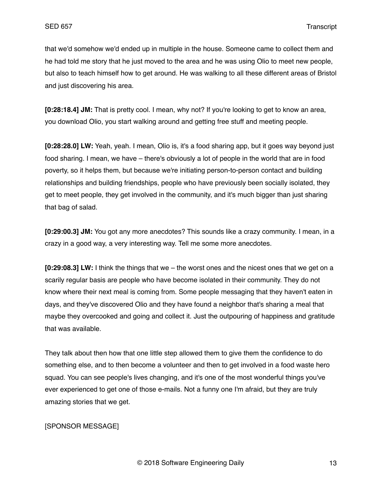that we'd somehow we'd ended up in multiple in the house. Someone came to collect them and he had told me story that he just moved to the area and he was using Olio to meet new people, but also to teach himself how to get around. He was walking to all these different areas of Bristol and just discovering his area.

**[0:28:18.4] JM:** That is pretty cool. I mean, why not? If you're looking to get to know an area, you download Olio, you start walking around and getting free stuff and meeting people.

**[0:28:28.0] LW:** Yeah, yeah. I mean, Olio is, it's a food sharing app, but it goes way beyond just food sharing. I mean, we have – there's obviously a lot of people in the world that are in food poverty, so it helps them, but because we're initiating person-to-person contact and building relationships and building friendships, people who have previously been socially isolated, they get to meet people, they get involved in the community, and it's much bigger than just sharing that bag of salad.

**[0:29:00.3] JM:** You got any more anecdotes? This sounds like a crazy community. I mean, in a crazy in a good way, a very interesting way. Tell me some more anecdotes.

**[0:29:08.3] LW:** I think the things that we – the worst ones and the nicest ones that we get on a scarily regular basis are people who have become isolated in their community. They do not know where their next meal is coming from. Some people messaging that they haven't eaten in days, and they've discovered Olio and they have found a neighbor that's sharing a meal that maybe they overcooked and going and collect it. Just the outpouring of happiness and gratitude that was available.

They talk about then how that one little step allowed them to give them the confidence to do something else, and to then become a volunteer and then to get involved in a food waste hero squad. You can see people's lives changing, and it's one of the most wonderful things you've ever experienced to get one of those e-mails. Not a funny one I'm afraid, but they are truly amazing stories that we get.

## [SPONSOR MESSAGE]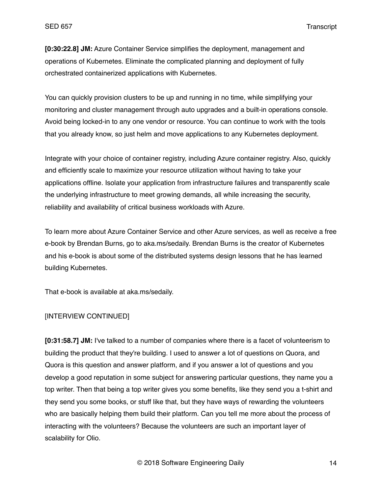**[0:30:22.8] JM:** Azure Container Service simplifies the deployment, management and operations of Kubernetes. Eliminate the complicated planning and deployment of fully orchestrated containerized applications with Kubernetes.

You can quickly provision clusters to be up and running in no time, while simplifying your monitoring and cluster management through auto upgrades and a built-in operations console. Avoid being locked-in to any one vendor or resource. You can continue to work with the tools that you already know, so just helm and move applications to any Kubernetes deployment.

Integrate with your choice of container registry, including Azure container registry. Also, quickly and efficiently scale to maximize your resource utilization without having to take your applications offline. Isolate your application from infrastructure failures and transparently scale the underlying infrastructure to meet growing demands, all while increasing the security, reliability and availability of critical business workloads with Azure.

To learn more about Azure Container Service and other Azure services, as well as receive a free e-book by Brendan Burns, go to aka.ms/sedaily. Brendan Burns is the creator of Kubernetes and his e-book is about some of the distributed systems design lessons that he has learned building Kubernetes.

That e-book is available at aka.ms/sedaily.

## [INTERVIEW CONTINUED]

**[0:31:58.7] JM:** I've talked to a number of companies where there is a facet of volunteerism to building the product that they're building. I used to answer a lot of questions on Quora, and Quora is this question and answer platform, and if you answer a lot of questions and you develop a good reputation in some subject for answering particular questions, they name you a top writer. Then that being a top writer gives you some benefits, like they send you a t-shirt and they send you some books, or stuff like that, but they have ways of rewarding the volunteers who are basically helping them build their platform. Can you tell me more about the process of interacting with the volunteers? Because the volunteers are such an important layer of scalability for Olio.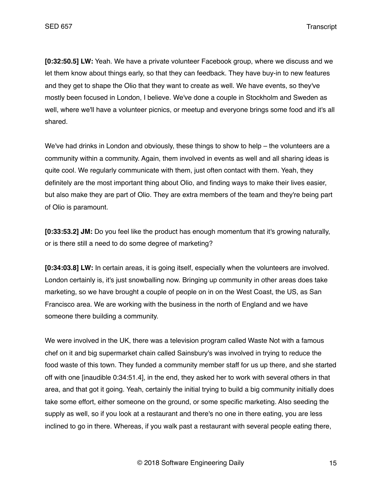**[0:32:50.5] LW:** Yeah. We have a private volunteer Facebook group, where we discuss and we let them know about things early, so that they can feedback. They have buy-in to new features and they get to shape the Olio that they want to create as well. We have events, so they've mostly been focused in London, I believe. We've done a couple in Stockholm and Sweden as well, where we'll have a volunteer picnics, or meetup and everyone brings some food and it's all shared.

We've had drinks in London and obviously, these things to show to help – the volunteers are a community within a community. Again, them involved in events as well and all sharing ideas is quite cool. We regularly communicate with them, just often contact with them. Yeah, they definitely are the most important thing about Olio, and finding ways to make their lives easier, but also make they are part of Olio. They are extra members of the team and they're being part of Olio is paramount.

**[0:33:53.2] JM:** Do you feel like the product has enough momentum that it's growing naturally, or is there still a need to do some degree of marketing?

**[0:34:03.8] LW:** In certain areas, it is going itself, especially when the volunteers are involved. London certainly is, it's just snowballing now. Bringing up community in other areas does take marketing, so we have brought a couple of people on in on the West Coast, the US, as San Francisco area. We are working with the business in the north of England and we have someone there building a community.

We were involved in the UK, there was a television program called Waste Not with a famous chef on it and big supermarket chain called Sainsbury's was involved in trying to reduce the food waste of this town. They funded a community member staff for us up there, and she started off with one [inaudible 0:34:51.4], in the end, they asked her to work with several others in that area, and that got it going. Yeah, certainly the initial trying to build a big community initially does take some effort, either someone on the ground, or some specific marketing. Also seeding the supply as well, so if you look at a restaurant and there's no one in there eating, you are less inclined to go in there. Whereas, if you walk past a restaurant with several people eating there,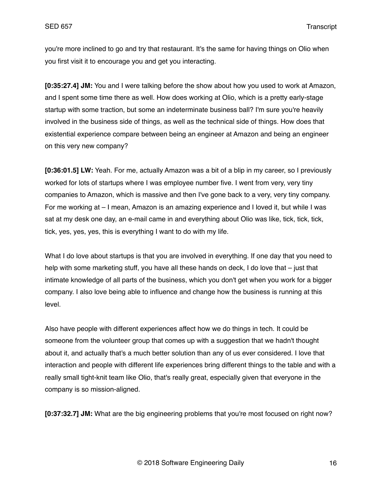you're more inclined to go and try that restaurant. It's the same for having things on Olio when you first visit it to encourage you and get you interacting.

**[0:35:27.4] JM:** You and I were talking before the show about how you used to work at Amazon, and I spent some time there as well. How does working at Olio, which is a pretty early-stage startup with some traction, but some an indeterminate business ball? I'm sure you're heavily involved in the business side of things, as well as the technical side of things. How does that existential experience compare between being an engineer at Amazon and being an engineer on this very new company?

**[0:36:01.5] LW:** Yeah. For me, actually Amazon was a bit of a blip in my career, so I previously worked for lots of startups where I was employee number five. I went from very, very tiny companies to Amazon, which is massive and then I've gone back to a very, very tiny company. For me working at – I mean, Amazon is an amazing experience and I loved it, but while I was sat at my desk one day, an e-mail came in and everything about Olio was like, tick, tick, tick, tick, yes, yes, yes, this is everything I want to do with my life.

What I do love about startups is that you are involved in everything. If one day that you need to help with some marketing stuff, you have all these hands on deck, I do love that – just that intimate knowledge of all parts of the business, which you don't get when you work for a bigger company. I also love being able to influence and change how the business is running at this level.

Also have people with different experiences affect how we do things in tech. It could be someone from the volunteer group that comes up with a suggestion that we hadn't thought about it, and actually that's a much better solution than any of us ever considered. I love that interaction and people with different life experiences bring different things to the table and with a really small tight-knit team like Olio, that's really great, especially given that everyone in the company is so mission-aligned.

**[0:37:32.7] JM:** What are the big engineering problems that you're most focused on right now?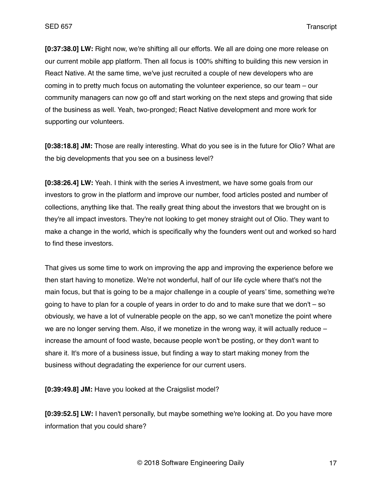**[0:37:38.0] LW:** Right now, we're shifting all our efforts. We all are doing one more release on our current mobile app platform. Then all focus is 100% shifting to building this new version in React Native. At the same time, we've just recruited a couple of new developers who are coming in to pretty much focus on automating the volunteer experience, so our team – our community managers can now go off and start working on the next steps and growing that side of the business as well. Yeah, two-pronged; React Native development and more work for supporting our volunteers.

**[0:38:18.8] JM:** Those are really interesting. What do you see is in the future for Olio? What are the big developments that you see on a business level?

**[0:38:26.4] LW:** Yeah. I think with the series A investment, we have some goals from our investors to grow in the platform and improve our number, food articles posted and number of collections, anything like that. The really great thing about the investors that we brought on is they're all impact investors. They're not looking to get money straight out of Olio. They want to make a change in the world, which is specifically why the founders went out and worked so hard to find these investors.

That gives us some time to work on improving the app and improving the experience before we then start having to monetize. We're not wonderful, half of our life cycle where that's not the main focus, but that is going to be a major challenge in a couple of years' time, something we're going to have to plan for a couple of years in order to do and to make sure that we don't – so obviously, we have a lot of vulnerable people on the app, so we can't monetize the point where we are no longer serving them. Also, if we monetize in the wrong way, it will actually reduce  $$ increase the amount of food waste, because people won't be posting, or they don't want to share it. It's more of a business issue, but finding a way to start making money from the business without degradating the experience for our current users.

**[0:39:49.8] JM:** Have you looked at the Craigslist model?

**[0:39:52.5] LW:** I haven't personally, but maybe something we're looking at. Do you have more information that you could share?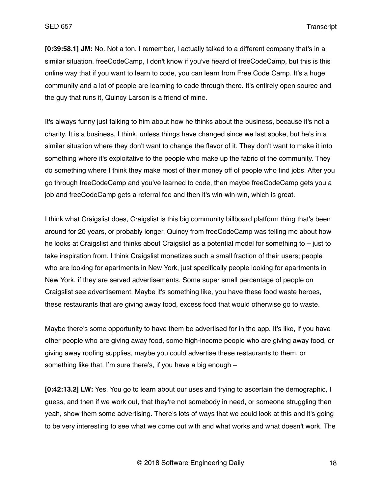**[0:39:58.1] JM:** No. Not a ton. I remember, I actually talked to a different company that's in a similar situation. freeCodeCamp, I don't know if you've heard of freeCodeCamp, but this is this online way that if you want to learn to code, you can learn from Free Code Camp. It's a huge community and a lot of people are learning to code through there. It's entirely open source and the guy that runs it, Quincy Larson is a friend of mine.

It's always funny just talking to him about how he thinks about the business, because it's not a charity. It is a business, I think, unless things have changed since we last spoke, but he's in a similar situation where they don't want to change the flavor of it. They don't want to make it into something where it's exploitative to the people who make up the fabric of the community. They do something where I think they make most of their money off of people who find jobs. After you go through freeCodeCamp and you've learned to code, then maybe freeCodeCamp gets you a job and freeCodeCamp gets a referral fee and then it's win-win-win, which is great.

I think what Craigslist does, Craigslist is this big community billboard platform thing that's been around for 20 years, or probably longer. Quincy from freeCodeCamp was telling me about how he looks at Craigslist and thinks about Craigslist as a potential model for something to – just to take inspiration from. I think Craigslist monetizes such a small fraction of their users; people who are looking for apartments in New York, just specifically people looking for apartments in New York, if they are served advertisements. Some super small percentage of people on Craigslist see advertisement. Maybe it's something like, you have these food waste heroes, these restaurants that are giving away food, excess food that would otherwise go to waste.

Maybe there's some opportunity to have them be advertised for in the app. It's like, if you have other people who are giving away food, some high-income people who are giving away food, or giving away roofing supplies, maybe you could advertise these restaurants to them, or something like that. I'm sure there's, if you have a big enough –

**[0:42:13.2] LW:** Yes. You go to learn about our uses and trying to ascertain the demographic, I guess, and then if we work out, that they're not somebody in need, or someone struggling then yeah, show them some advertising. There's lots of ways that we could look at this and it's going to be very interesting to see what we come out with and what works and what doesn't work. The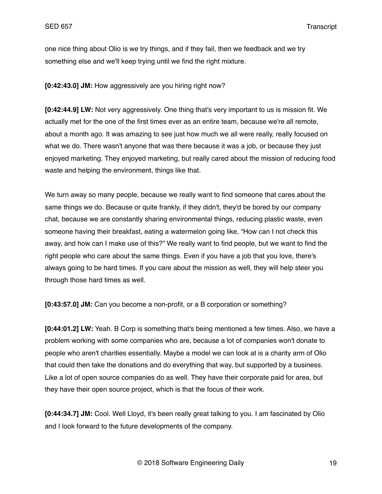one nice thing about Olio is we try things, and if they fail, then we feedback and we try something else and we'll keep trying until we find the right mixture.

**[0:42:43.0] JM:** How aggressively are you hiring right now?

**[0:42:44.9] LW:** Not very aggressively. One thing that's very important to us is mission fit. We actually met for the one of the first times ever as an entire team, because we're all remote, about a month ago. It was amazing to see just how much we all were really, really focused on what we do. There wasn't anyone that was there because it was a job, or because they just enjoyed marketing. They enjoyed marketing, but really cared about the mission of reducing food waste and helping the environment, things like that.

We turn away so many people, because we really want to find someone that cares about the same things we do. Because or quite frankly, if they didn't, they'd be bored by our company chat, because we are constantly sharing environmental things, reducing plastic waste, even someone having their breakfast, eating a watermelon going like, "How can I not check this away, and how can I make use of this?" We really want to find people, but we want to find the right people who care about the same things. Even if you have a job that you love, there's always going to be hard times. If you care about the mission as well, they will help steer you through those hard times as well.

**[0:43:57.0] JM:** Can you become a non-profit, or a B corporation or something?

**[0:44:01.2] LW:** Yeah. B Corp is something that's being mentioned a few times. Also, we have a problem working with some companies who are, because a lot of companies won't donate to people who aren't charities essentially. Maybe a model we can look at is a charity arm of Olio that could then take the donations and do everything that way, but supported by a business. Like a lot of open source companies do as well. They have their corporate paid for area, but they have their open source project, which is that the focus of their work.

**[0:44:34.7] JM:** Cool. Well Lloyd, it's been really great talking to you. I am fascinated by Olio and I look forward to the future developments of the company.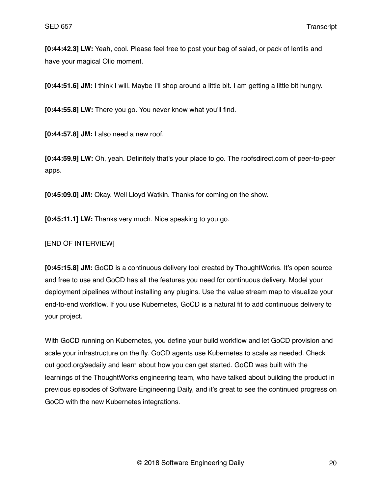**[0:44:42.3] LW:** Yeah, cool. Please feel free to post your bag of salad, or pack of lentils and have your magical Olio moment.

**[0:44:51.6] JM:** I think I will. Maybe I'll shop around a little bit. I am getting a little bit hungry.

**[0:44:55.8] LW:** There you go. You never know what you'll find.

**[0:44:57.8] JM:** I also need a new roof.

**[0:44:59.9] LW:** Oh, yeah. Definitely that's your place to go. The roofsdirect.com of peer-to-peer apps.

**[0:45:09.0] JM:** Okay. Well Lloyd Watkin. Thanks for coming on the show.

**[0:45:11.1] LW:** Thanks very much. Nice speaking to you go.

# [END OF INTERVIEW]

**[0:45:15.8] JM:** GoCD is a continuous delivery tool created by ThoughtWorks. It's open source and free to use and GoCD has all the features you need for continuous delivery. Model your deployment pipelines without installing any plugins. Use the value stream map to visualize your end-to-end workflow. If you use Kubernetes, GoCD is a natural fit to add continuous delivery to your project.

With GoCD running on Kubernetes, you define your build workflow and let GoCD provision and scale your infrastructure on the fly. GoCD agents use Kubernetes to scale as needed. Check out gocd.org/sedaily and learn about how you can get started. GoCD was built with the learnings of the ThoughtWorks engineering team, who have talked about building the product in previous episodes of Software Engineering Daily, and it's great to see the continued progress on GoCD with the new Kubernetes integrations.